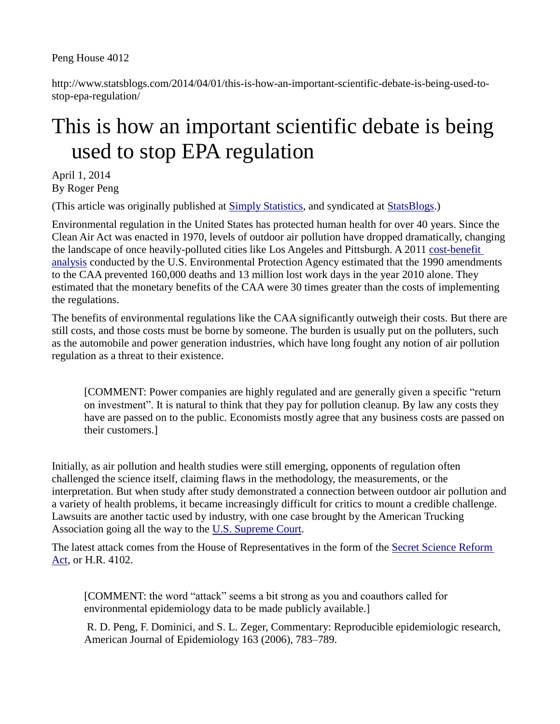Peng House 4012

http://www.statsblogs.com/2014/04/01/this-is-how-an-important-scientific-debate-is-being-used-tostop-epa-regulation/

## This is how an important scientific debate is being used to stop EPA regulation

April 1, 2014 By Roger Peng

(This article was originally published at [Simply Statistics,](http://simplystatistics.org/) and syndicated at [StatsBlogs.](http://www.statsblogs.com/))

Environmental regulation in the United States has protected human health for over 40 years. Since the Clean Air Act was enacted in 1970, levels of outdoor air pollution have dropped dramatically, changing the landscape of once heavily-polluted cities like Los Angeles and Pittsburgh. A 2011 [cost-benefit](http://www.epa.gov/air/sect812/prospective2.html)  [analysis](http://www.epa.gov/air/sect812/prospective2.html) conducted by the U.S. Environmental Protection Agency estimated that the 1990 amendments to the CAA prevented 160,000 deaths and 13 million lost work days in the year 2010 alone. They estimated that the monetary benefits of the CAA were 30 times greater than the costs of implementing the regulations.

The benefits of environmental regulations like the CAA significantly outweigh their costs. But there are still costs, and those costs must be borne by someone. The burden is usually put on the polluters, such as the automobile and power generation industries, which have long fought any notion of air pollution regulation as a threat to their existence.

[COMMENT: Power companies are highly regulated and are generally given a specific "return on investment". It is natural to think that they pay for pollution cleanup. By law any costs they have are passed on to the public. Economists mostly agree that any business costs are passed on their customers.]

Initially, as air pollution and health studies were still emerging, opponents of regulation often challenged the science itself, claiming flaws in the methodology, the measurements, or the interpretation. But when study after study demonstrated a connection between outdoor air pollution and a variety of health problems, it became increasingly difficult for critics to mount a credible challenge. Lawsuits are another tactic used by industry, with one case brought by the American Trucking Association going all the way to the [U.S. Supreme Court.](http://www.oyez.org/cases/2000-2009/2000/2000_99_1257)

The latest attack comes from the House of Representatives in the form of the [Secret Science Reform](http://beta.congress.gov/bill/113th-congress/house-bill/4012)  [Act,](http://beta.congress.gov/bill/113th-congress/house-bill/4012) or H.R. 4102.

[COMMENT: the word "attack" seems a bit strong as you and coauthors called for environmental epidemiology data to be made publicly available.]

R. D. Peng, F. Dominici, and S. L. Zeger, Commentary: Reproducible epidemiologic research, American Journal of Epidemiology 163 (2006), 783–789.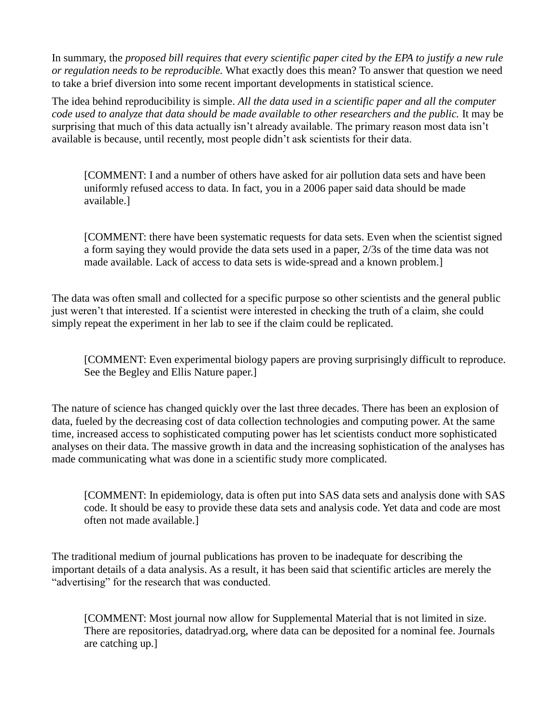In summary, the *proposed bill requires that every scientific paper cited by the EPA to justify a new rule or regulation needs to be reproducible.* What exactly does this mean? To answer that question we need to take a brief diversion into some recent important developments in statistical science.

The idea behind reproducibility is simple. *All the data used in a scientific paper and all the computer code used to analyze that data should be made available to other researchers and the public.* It may be surprising that much of this data actually isn't already available. The primary reason most data isn't available is because, until recently, most people didn't ask scientists for their data.

[COMMENT: I and a number of others have asked for air pollution data sets and have been uniformly refused access to data. In fact, you in a 2006 paper said data should be made available.]

[COMMENT: there have been systematic requests for data sets. Even when the scientist signed a form saying they would provide the data sets used in a paper, 2/3s of the time data was not made available. Lack of access to data sets is wide-spread and a known problem.]

The data was often small and collected for a specific purpose so other scientists and the general public just weren't that interested. If a scientist were interested in checking the truth of a claim, she could simply repeat the experiment in her lab to see if the claim could be replicated.

[COMMENT: Even experimental biology papers are proving surprisingly difficult to reproduce. See the Begley and Ellis Nature paper.]

The nature of science has changed quickly over the last three decades. There has been an explosion of data, fueled by the decreasing cost of data collection technologies and computing power. At the same time, increased access to sophisticated computing power has let scientists conduct more sophisticated analyses on their data. The massive growth in data and the increasing sophistication of the analyses has made communicating what was done in a scientific study more complicated.

[COMMENT: In epidemiology, data is often put into SAS data sets and analysis done with SAS code. It should be easy to provide these data sets and analysis code. Yet data and code are most often not made available.]

The traditional medium of journal publications has proven to be inadequate for describing the important details of a data analysis. As a result, it has been said that scientific articles are merely the "advertising" for the research that was conducted.

[COMMENT: Most journal now allow for Supplemental Material that is not limited in size. There are repositories, datadryad.org, where data can be deposited for a nominal fee. Journals are catching up.]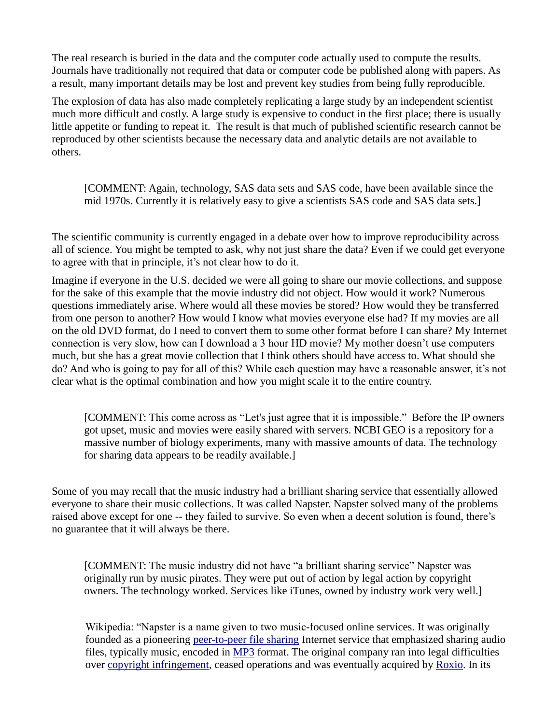The real research is buried in the data and the computer code actually used to compute the results. Journals have traditionally not required that data or computer code be published along with papers. As a result, many important details may be lost and prevent key studies from being fully reproducible.

The explosion of data has also made completely replicating a large study by an independent scientist much more difficult and costly. A large study is expensive to conduct in the first place; there is usually little appetite or funding to repeat it. The result is that much of published scientific research cannot be reproduced by other scientists because the necessary data and analytic details are not available to others.

[COMMENT: Again, technology, SAS data sets and SAS code, have been available since the mid 1970s. Currently it is relatively easy to give a scientists SAS code and SAS data sets.]

The scientific community is currently engaged in a debate over how to improve reproducibility across all of science. You might be tempted to ask, why not just share the data? Even if we could get everyone to agree with that in principle, it's not clear how to do it.

Imagine if everyone in the U.S. decided we were all going to share our movie collections, and suppose for the sake of this example that the movie industry did not object. How would it work? Numerous questions immediately arise. Where would all these movies be stored? How would they be transferred from one person to another? How would I know what movies everyone else had? If my movies are all on the old DVD format, do I need to convert them to some other format before I can share? My Internet connection is very slow, how can I download a 3 hour HD movie? My mother doesn't use computers much, but she has a great movie collection that I think others should have access to. What should she do? And who is going to pay for all of this? While each question may have a reasonable answer, it's not clear what is the optimal combination and how you might scale it to the entire country.

[COMMENT: This come across as "Let's just agree that it is impossible." Before the IP owners got upset, music and movies were easily shared with servers. NCBI GEO is a repository for a massive number of biology experiments, many with massive amounts of data. The technology for sharing data appears to be readily available.]

Some of you may recall that the music industry had a brilliant sharing service that essentially allowed everyone to share their music collections. It was called Napster. Napster solved many of the problems raised above except for one -- they failed to survive. So even when a decent solution is found, there's no guarantee that it will always be there.

[COMMENT: The music industry did not have "a brilliant sharing service" Napster was originally run by music pirates. They were put out of action by legal action by copyright owners. The technology worked. Services like iTunes, owned by industry work very well.]

Wikipedia: "Napster is a name given to two music-focused online services. It was originally founded as a pioneering [peer-to-peer file sharing](http://en.wikipedia.org/wiki/Peer-to-peer_file_sharing) Internet service that emphasized sharing audio files, typically music, encoded in [MP3](http://en.wikipedia.org/wiki/MP3) format. The original company ran into legal difficulties over [copyright infringement,](http://en.wikipedia.org/wiki/Copyright_infringement) ceased operations and was eventually acquired by [Roxio.](http://en.wikipedia.org/wiki/Roxio) In its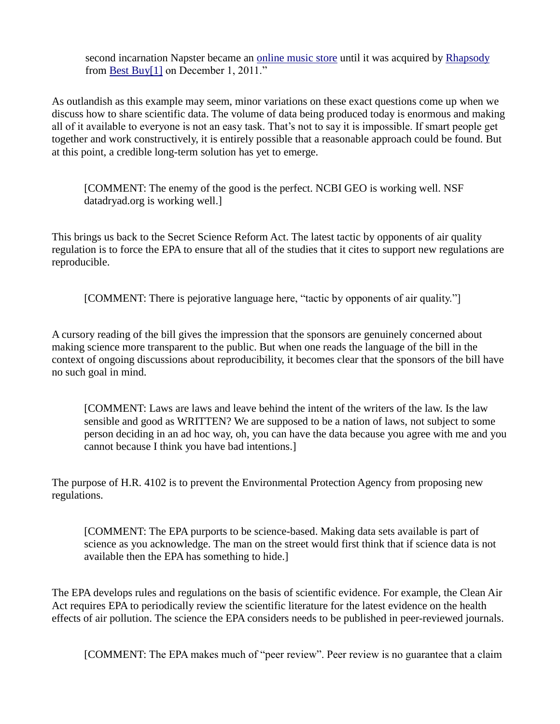second incarnation Napster became an [online music store](http://en.wikipedia.org/wiki/Online_music_store) until it was acquired by [Rhapsody](http://en.wikipedia.org/wiki/Rhapsody_%28online_music_service%29) from [Best Buy\[1\]](http://en.wikipedia.org/wiki/Best_Buy) on December 1, 2011."

As outlandish as this example may seem, minor variations on these exact questions come up when we discuss how to share scientific data. The volume of data being produced today is enormous and making all of it available to everyone is not an easy task. That's not to say it is impossible. If smart people get together and work constructively, it is entirely possible that a reasonable approach could be found. But at this point, a credible long-term solution has yet to emerge.

[COMMENT: The enemy of the good is the perfect. NCBI GEO is working well. NSF datadryad.org is working well.]

This brings us back to the Secret Science Reform Act. The latest tactic by opponents of air quality regulation is to force the EPA to ensure that all of the studies that it cites to support new regulations are reproducible.

[COMMENT: There is pejorative language here, "tactic by opponents of air quality."]

A cursory reading of the bill gives the impression that the sponsors are genuinely concerned about making science more transparent to the public. But when one reads the language of the bill in the context of ongoing discussions about reproducibility, it becomes clear that the sponsors of the bill have no such goal in mind.

[COMMENT: Laws are laws and leave behind the intent of the writers of the law. Is the law sensible and good as WRITTEN? We are supposed to be a nation of laws, not subject to some person deciding in an ad hoc way, oh, you can have the data because you agree with me and you cannot because I think you have bad intentions.]

The purpose of H.R. 4102 is to prevent the Environmental Protection Agency from proposing new regulations.

[COMMENT: The EPA purports to be science-based. Making data sets available is part of science as you acknowledge. The man on the street would first think that if science data is not available then the EPA has something to hide.]

The EPA develops rules and regulations on the basis of scientific evidence. For example, the Clean Air Act requires EPA to periodically review the scientific literature for the latest evidence on the health effects of air pollution. The science the EPA considers needs to be published in peer-reviewed journals.

[COMMENT: The EPA makes much of "peer review". Peer review is no guarantee that a claim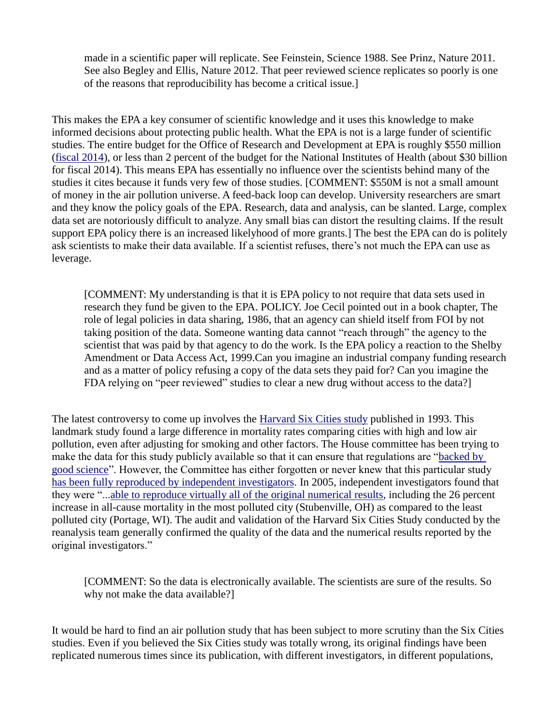made in a scientific paper will replicate. See Feinstein, Science 1988. See Prinz, Nature 2011. See also Begley and Ellis, Nature 2012. That peer reviewed science replicates so poorly is one of the reasons that reproducibility has become a critical issue.]

This makes the EPA a key consumer of scientific knowledge and it uses this knowledge to make informed decisions about protecting public health. What the EPA is not is a large funder of scientific studies. The entire budget for the Office of Research and Development at EPA is roughly \$550 million [\(fiscal 2014\)](http://nepis.epa.gov/Exe/ZyNET.exe/P100GCS2.TXT?ZyActionD=ZyDocument&Client=EPA&Index=2011+Thru+2015&Docs=&Query=&Time=&EndTime=&SearchMethod=1&TocRestrict=n&Toc=&TocEntry=&QField=&QFieldYear=&QFieldMonth=&QFieldDay=&IntQFieldOp=0&ExtQFieldOp=0&XmlQuery=&File=D%3A%5Czyfiles%5CIndex%20Data%5C11thru15%5CTxt%5C00000007%5CP100GCS2.txt&User=ANONYMOUS&Password=anonymous&SortMethod=h%7C-&MaximumDocuments=1&FuzzyDegree=0&ImageQuality=r75g8/r75g8/x150y150g16/i425&Display=p%7Cf&DefSeekPage=x&SearchBack=ZyActionL&Back=ZyActionS&BackDesc=Results%20page&MaximumPages=1&ZyEntry=1&SeekPage=x&ZyPURL), or less than 2 percent of the budget for the National Institutes of Health (about \$30 billion for fiscal 2014). This means EPA has essentially no influence over the scientists behind many of the studies it cites because it funds very few of those studies. [COMMENT: \$550M is not a small amount of money in the air pollution universe. A feed-back loop can develop. University researchers are smart and they know the policy goals of the EPA. Research, data and analysis, can be slanted. Large, complex data set are notoriously difficult to analyze. Any small bias can distort the resulting claims. If the result support EPA policy there is an increased likelyhood of more grants.] The best the EPA can do is politely ask scientists to make their data available. If a scientist refuses, there's not much the EPA can use as leverage.

[COMMENT: My understanding is that it is EPA policy to not require that data sets used in research they fund be given to the EPA. POLICY. Joe Cecil pointed out in a book chapter, The role of legal policies in data sharing, 1986, that an agency can shield itself from FOI by not taking position of the data. Someone wanting data cannot "reach through" the agency to the scientist that was paid by that agency to do the work. Is the EPA policy a reaction to the Shelby Amendment or Data Access Act, 1999.Can you imagine an industrial company funding research and as a matter of policy refusing a copy of the data sets they paid for? Can you imagine the FDA relying on "peer reviewed" studies to clear a new drug without access to the data?

The latest controversy to come up involves the [Harvard Six Cities study](http://www.ncbi.nlm.nih.gov/pubmed/8179653) published in 1993. This landmark study found a large difference in mortality rates comparing cities with high and low air pollution, even after adjusting for smoking and other factors. The House committee has been trying to make the data for this study publicly available so that it can ensure that regulations are ["backed by](http://online.wsj.com/news/articles/SB10001424127887323829104578624562008231682)  [good science"](http://online.wsj.com/news/articles/SB10001424127887323829104578624562008231682). However, the Committee has either forgotten or never knew that this particular study [has been fully reproduced by independent investigators.](http://www.ncbi.nlm.nih.gov/pubmed/16020032) In 2005, independent investigators found that they were "..[.able to reproduce virtually all of the original numerical results,](http://www.ncbi.nlm.nih.gov/pubmed/16020032) including the 26 percent increase in all-cause mortality in the most polluted city (Stubenville, OH) as compared to the least polluted city (Portage, WI). The audit and validation of the Harvard Six Cities Study conducted by the reanalysis team generally confirmed the quality of the data and the numerical results reported by the original investigators."

[COMMENT: So the data is electronically available. The scientists are sure of the results. So why not make the data available?]

It would be hard to find an air pollution study that has been subject to more scrutiny than the Six Cities studies. Even if you believed the Six Cities study was totally wrong, its original findings have been replicated numerous times since its publication, with different investigators, in different populations,